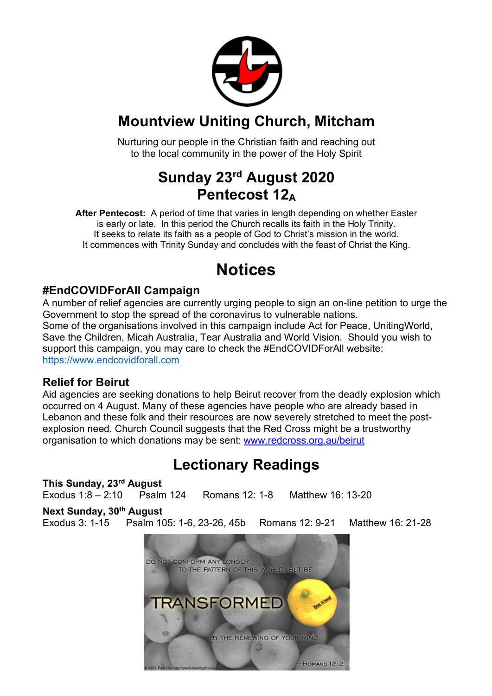

## **Mountview Uniting Church, Mitcham**

Nurturing our people in the Christian faith and reaching out to the local community in the power of the Holy Spirit

### **Sunday 23rd August 2020 Pentecost 12A**

**After Pentecost:** A period of time that varies in length depending on whether Easter is early or late. In this period the Church recalls its faith in the Holy Trinity. It seeks to relate its faith as a people of God to Christ's mission in the world. It commences with Trinity Sunday and concludes with the feast of Christ the King.

## **Notices**

#### **#EndCOVIDForAll Campaign**

A number of relief agencies are currently urging people to sign an on-line petition to urge the Government to stop the spread of the coronavirus to vulnerable nations. Some of the organisations involved in this campaign include Act for Peace, UnitingWorld, Save the Children, Micah Australia, Tear Australia and World Vision. Should you wish to support this campaign, you may care to check the #EndCOVIDForAll website: https://www.endcovidforall.com

#### **Relief for Beirut**

Aid agencies are seeking donations to help Beirut recover from the deadly explosion which occurred on 4 August. Many of these agencies have people who are already based in Lebanon and these folk and their resources are now severely stretched to meet the postexplosion need. Church Council suggests that the Red Cross might be a trustworthy organisation to which donations may be sent: www.redcross.org.au/beirut

## **Lectionary Readings**

**This Sunday, 23rd August** Exodus 1:8 – 2:10 Psalm 124 Romans 12: 1-8 Matthew 16: 13-20

#### **Next Sunday, 30th August**

Exodus 3: 1-15 Psalm 105: 1-6, 23-26, 45b Romans 12: 9-21 Matthew 16: 21-28